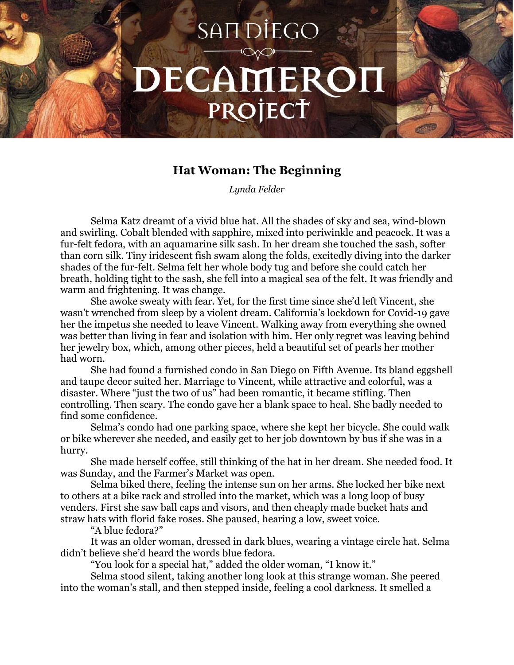## SAIT DIEGO DECAMEROI PROJECT

## **Hat Woman: The Beginning**

*Lynda Felder*

Selma Katz dreamt of a vivid blue hat. All the shades of sky and sea, wind-blown and swirling. Cobalt blended with sapphire, mixed into periwinkle and peacock. It was a fur-felt fedora, with an aquamarine silk sash. In her dream she touched the sash, softer than corn silk. Tiny iridescent fish swam along the folds, excitedly diving into the darker shades of the fur-felt. Selma felt her whole body tug and before she could catch her breath, holding tight to the sash, she fell into a magical sea of the felt. It was friendly and warm and frightening. It was change.

She awoke sweaty with fear. Yet, for the first time since she'd left Vincent, she wasn't wrenched from sleep by a violent dream. California's lockdown for Covid-19 gave her the impetus she needed to leave Vincent. Walking away from everything she owned was better than living in fear and isolation with him. Her only regret was leaving behind her jewelry box, which, among other pieces, held a beautiful set of pearls her mother had worn.

She had found a furnished condo in San Diego on Fifth Avenue. Its bland eggshell and taupe decor suited her. Marriage to Vincent, while attractive and colorful, was a disaster. Where "just the two of us" had been romantic, it became stifling. Then controlling. Then scary. The condo gave her a blank space to heal. She badly needed to find some confidence.

Selma's condo had one parking space, where she kept her bicycle. She could walk or bike wherever she needed, and easily get to her job downtown by bus if she was in a hurry.

She made herself coffee, still thinking of the hat in her dream. She needed food. It was Sunday, and the Farmer's Market was open.

Selma biked there, feeling the intense sun on her arms. She locked her bike next to others at a bike rack and strolled into the market, which was a long loop of busy venders. First she saw ball caps and visors, and then cheaply made bucket hats and straw hats with florid fake roses. She paused, hearing a low, sweet voice.

"A blue fedora?"

It was an older woman, dressed in dark blues, wearing a vintage circle hat. Selma didn't believe she'd heard the words blue fedora.

"You look for a special hat," added the older woman, "I know it."

Selma stood silent, taking another long look at this strange woman. She peered into the woman's stall, and then stepped inside, feeling a cool darkness. It smelled a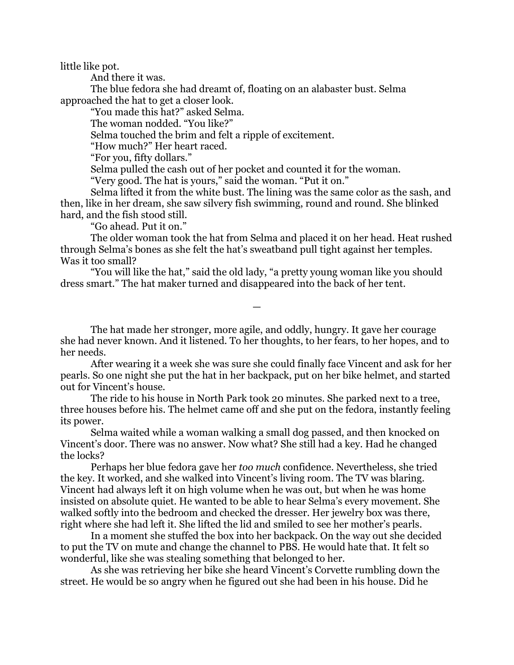little like pot.

And there it was.

The blue fedora she had dreamt of, floating on an alabaster bust. Selma approached the hat to get a closer look.

"You made this hat?" asked Selma.

The woman nodded. "You like?"

Selma touched the brim and felt a ripple of excitement.

"How much?" Her heart raced.

"For you, fifty dollars."

Selma pulled the cash out of her pocket and counted it for the woman.

"Very good. The hat is yours," said the woman. "Put it on."

Selma lifted it from the white bust. The lining was the same color as the sash, and then, like in her dream, she saw silvery fish swimming, round and round. She blinked hard, and the fish stood still.

"Go ahead. Put it on."

The older woman took the hat from Selma and placed it on her head. Heat rushed through Selma's bones as she felt the hat's sweatband pull tight against her temples. Was it too small?

"You will like the hat," said the old lady, "a pretty young woman like you should dress smart." The hat maker turned and disappeared into the back of her tent.

The hat made her stronger, more agile, and oddly, hungry. It gave her courage she had never known. And it listened. To her thoughts, to her fears, to her hopes, and to her needs.

—

After wearing it a week she was sure she could finally face Vincent and ask for her pearls. So one night she put the hat in her backpack, put on her bike helmet, and started out for Vincent's house.

The ride to his house in North Park took 20 minutes. She parked next to a tree, three houses before his. The helmet came off and she put on the fedora, instantly feeling its power.

Selma waited while a woman walking a small dog passed, and then knocked on Vincent's door. There was no answer. Now what? She still had a key. Had he changed the locks?

Perhaps her blue fedora gave her *too much* confidence. Nevertheless, she tried the key. It worked, and she walked into Vincent's living room. The TV was blaring. Vincent had always left it on high volume when he was out, but when he was home insisted on absolute quiet. He wanted to be able to hear Selma's every movement. She walked softly into the bedroom and checked the dresser. Her jewelry box was there, right where she had left it. She lifted the lid and smiled to see her mother's pearls.

In a moment she stuffed the box into her backpack. On the way out she decided to put the TV on mute and change the channel to PBS. He would hate that. It felt so wonderful, like she was stealing something that belonged to her.

As she was retrieving her bike she heard Vincent's Corvette rumbling down the street. He would be so angry when he figured out she had been in his house. Did he